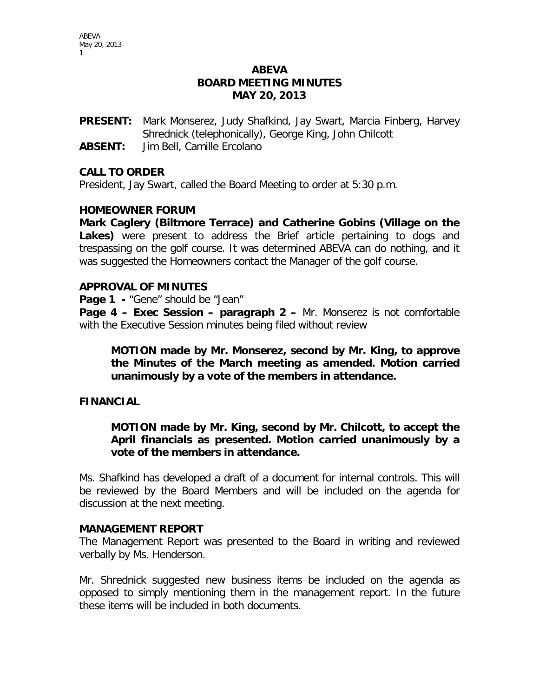# **ABEVA BOARD MEETING MINUTES MAY 20, 2013**

**PRESENT:** Mark Monserez, Judy Shafkind, Jay Swart, Marcia Finberg, Harvey Shrednick (telephonically), George King, John Chilcott

**ABSENT:** Jim Bell, Camille Ercolano

### **CALL TO ORDER**

President, Jay Swart, called the Board Meeting to order at 5:30 p.m.

### **HOMEOWNER FORUM**

**Mark Caglery (Biltmore Terrace) and Catherine Gobins (Village on the Lakes)** were present to address the Brief article pertaining to dogs and trespassing on the golf course. It was determined ABEVA can do nothing, and it was suggested the Homeowners contact the Manager of the golf course.

#### **APPROVAL OF MINUTES**

**Page 1 -** "Gene" should be "Jean"

**Page 4 – Exec Session – paragraph 2 –** Mr. Monserez is not comfortable with the Executive Session minutes being filed without review

**MOTION made by Mr. Monserez, second by Mr. King, to approve the Minutes of the March meeting as amended. Motion carried unanimously by a vote of the members in attendance.**

### **FINANCIAL**

**MOTION made by Mr. King, second by Mr. Chilcott, to accept the April financials as presented. Motion carried unanimously by a vote of the members in attendance.**

Ms. Shafkind has developed a draft of a document for internal controls. This will be reviewed by the Board Members and will be included on the agenda for discussion at the next meeting.

#### **MANAGEMENT REPORT**

The Management Report was presented to the Board in writing and reviewed verbally by Ms. Henderson.

Mr. Shrednick suggested new business items be included on the agenda as opposed to simply mentioning them in the management report. In the future these items will be included in both documents.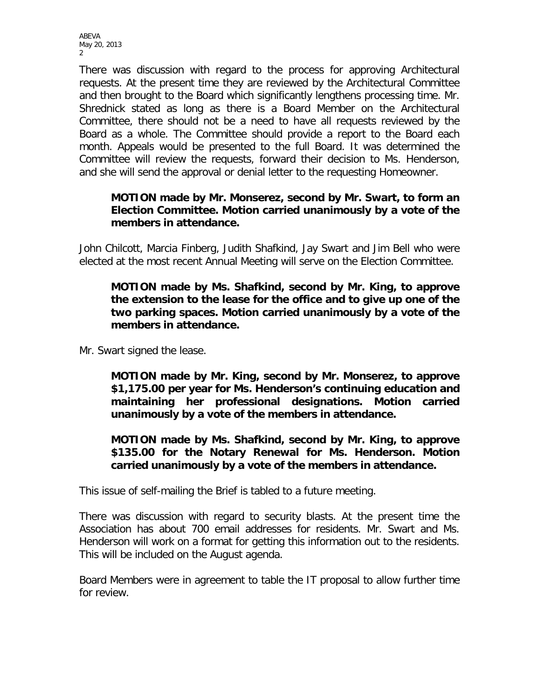ABEVA May 20, 2013 2

There was discussion with regard to the process for approving Architectural requests. At the present time they are reviewed by the Architectural Committee and then brought to the Board which significantly lengthens processing time. Mr. Shrednick stated as long as there is a Board Member on the Architectural Committee, there should not be a need to have all requests reviewed by the Board as a whole. The Committee should provide a report to the Board each month. Appeals would be presented to the full Board. It was determined the Committee will review the requests, forward their decision to Ms. Henderson, and she will send the approval or denial letter to the requesting Homeowner.

# **MOTION made by Mr. Monserez, second by Mr. Swart, to form an Election Committee. Motion carried unanimously by a vote of the members in attendance.**

John Chilcott, Marcia Finberg, Judith Shafkind, Jay Swart and Jim Bell who were elected at the most recent Annual Meeting will serve on the Election Committee.

# **MOTION made by Ms. Shafkind, second by Mr. King, to approve the extension to the lease for the office and to give up one of the two parking spaces. Motion carried unanimously by a vote of the members in attendance.**

Mr. Swart signed the lease.

**MOTION made by Mr. King, second by Mr. Monserez, to approve \$1,175.00 per year for Ms. Henderson's continuing education and maintaining her professional designations. Motion carried unanimously by a vote of the members in attendance.**

**MOTION made by Ms. Shafkind, second by Mr. King, to approve \$135.00 for the Notary Renewal for Ms. Henderson. Motion carried unanimously by a vote of the members in attendance.** 

This issue of self-mailing the Brief is tabled to a future meeting.

There was discussion with regard to security blasts. At the present time the Association has about 700 email addresses for residents. Mr. Swart and Ms. Henderson will work on a format for getting this information out to the residents. This will be included on the August agenda.

Board Members were in agreement to table the IT proposal to allow further time for review.